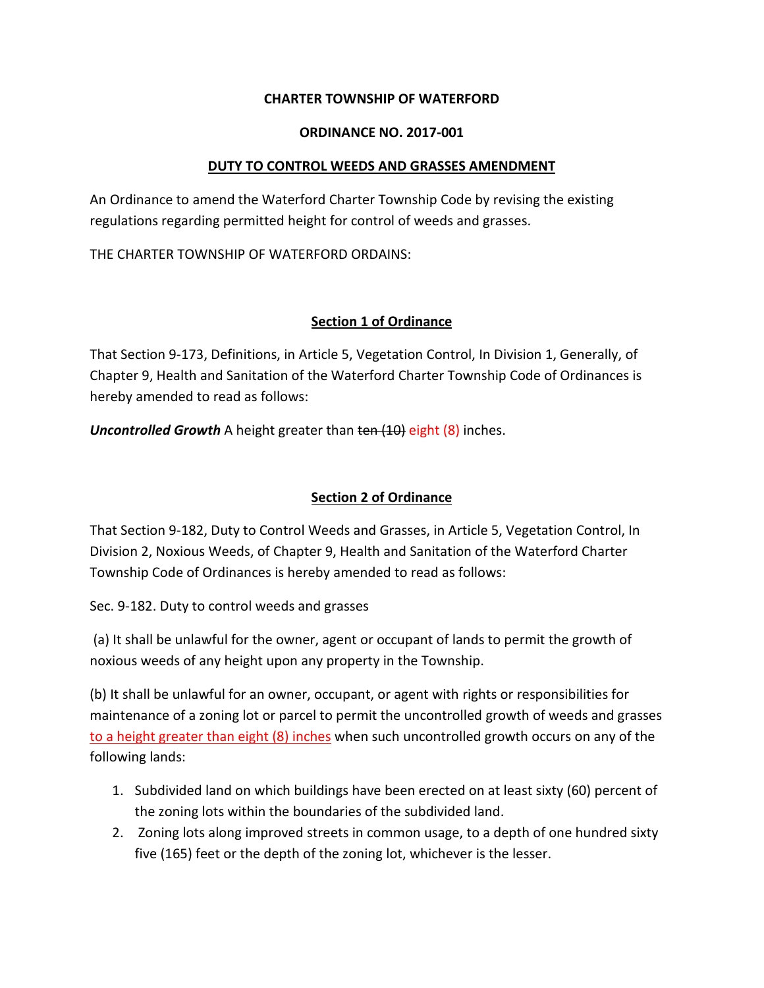### **CHARTER TOWNSHIP OF WATERFORD**

#### **ORDINANCE NO. 2017-001**

### **DUTY TO CONTROL WEEDS AND GRASSES AMENDMENT**

An Ordinance to amend the Waterford Charter Township Code by revising the existing regulations regarding permitted height for control of weeds and grasses.

THE CHARTER TOWNSHIP OF WATERFORD ORDAINS:

### **Section 1 of Ordinance**

That Section 9-173, Definitions, in Article 5, Vegetation Control, In Division 1, Generally, of Chapter 9, Health and Sanitation of the Waterford Charter Township Code of Ordinances is hereby amended to read as follows:

*Uncontrolled Growth* A height greater than ten (10) eight (8) inches.

# **Section 2 of Ordinance**

That Section 9-182, Duty to Control Weeds and Grasses, in Article 5, Vegetation Control, In Division 2, Noxious Weeds, of Chapter 9, Health and Sanitation of the Waterford Charter Township Code of Ordinances is hereby amended to read as follows:

Sec. 9-182. Duty to control weeds and grasses

(a) It shall be unlawful for the owner, agent or occupant of lands to permit the growth of noxious weeds of any height upon any property in the Township.

(b) It shall be unlawful for an owner, occupant, or agent with rights or responsibilities for maintenance of a zoning lot or parcel to permit the uncontrolled growth of weeds and grasses to a height greater than eight (8) inches when such uncontrolled growth occurs on any of the following lands:

- 1. Subdivided land on which buildings have been erected on at least sixty (60) percent of the zoning lots within the boundaries of the subdivided land.
- 2. Zoning lots along improved streets in common usage, to a depth of one hundred sixty five (165) feet or the depth of the zoning lot, whichever is the lesser.